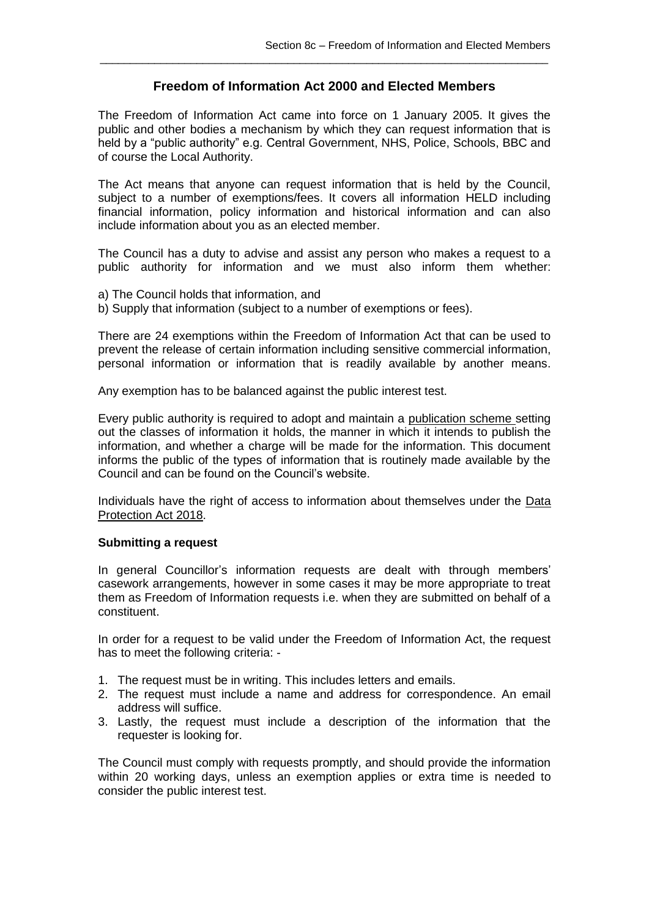## **Freedom of Information Act 2000 and Elected Members**

\_\_\_\_\_\_\_\_\_\_\_\_\_\_\_\_\_\_\_\_\_\_\_\_\_\_\_\_\_\_\_\_\_\_\_\_\_\_\_\_\_\_\_\_\_\_\_\_\_\_\_\_\_\_\_\_\_\_\_\_\_\_\_\_\_\_\_\_\_\_\_\_\_\_

The Freedom of Information Act came into force on 1 January 2005. It gives the public and other bodies a mechanism by which they can request information that is held by a "public authority" e.g. Central Government, NHS, Police, Schools, BBC and of course the Local Authority.

The Act means that anyone can request information that is held by the Council, subject to a number of exemptions/fees. It covers all information HELD including financial information, policy information and historical information and can also include information about you as an elected member.

The Council has a duty to advise and assist any person who makes a request to a public authority for information and we must also inform them whether:

- a) The Council holds that information, and
- b) Supply that information (subject to a number of exemptions or fees).

There are 24 exemptions within the Freedom of Information Act that can be used to prevent the release of certain information including sensitive commercial information, personal information or information that is readily available by another means.

Any exemption has to be balanced against the public interest test.

Every public authority is required to adopt and maintain a [publication scheme](file:///C:/redirect%3foid=%5bcom.arsdigita.cms.contenttypes.FileStorageItem:%7bid=1160002%7d%5d&context=live) setting out the classes of information it holds, the manner in which it intends to publish the information, and whether a charge will be made for the information. This document informs the public of the types of information that is routinely made available by the Council and can be found on the Council's website.

Individuals have the right of access to information about themselves under the [Data](http://www.opsi.gov.uk/acts/acts1998/19980029.htm)  [Protection Act 2](http://www.opsi.gov.uk/acts/acts1998/19980029.htm)018.

## **Submitting a request**

In general Councillor's information requests are dealt with through members' casework arrangements, however in some cases it may be more appropriate to treat them as Freedom of Information requests i.e. when they are submitted on behalf of a constituent.

In order for a request to be valid under the Freedom of Information Act, the request has to meet the following criteria: -

- 1. The request must be in writing. This includes letters and emails.
- 2. The request must include a name and address for correspondence. An email address will suffice.
- 3. Lastly, the request must include a description of the information that the requester is looking for.

The Council must comply with requests promptly, and should provide the information within 20 working days, unless an exemption applies or extra time is needed to consider the public interest test.